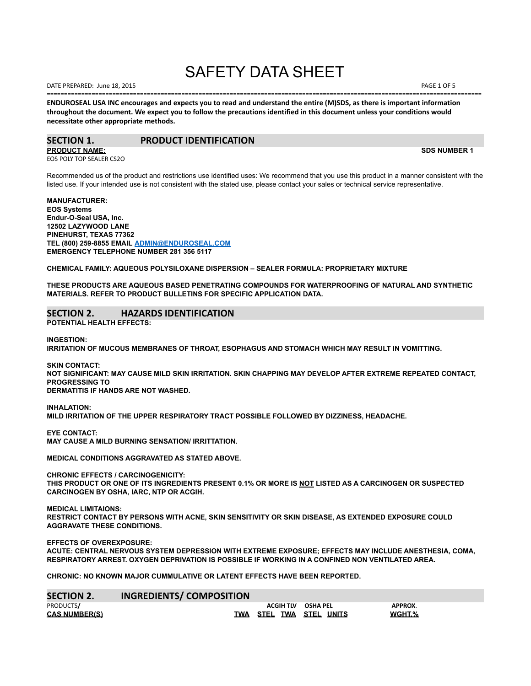# SAFETY DATA SHEET

==============================================================================================================================

DATE PREPARED: June 18, 2015 **PAGE 1 OF 5** and the set of the set of the set of the set of the set of the set of the set of the set of the set of the set of the set of the set of the set of the set of the set of the set of

**ENDUROSEAL USA INC encourages and expects you to read and understand the entire (M)SDS, as there is important information throughout the document. We expect you to follow the precautions identified in this document unless your conditions would necessitate other appropriate methods.**

## **SECTION 1. PRODUCT IDENTIFICATION**

**PRODUCT NAME: SDS NUMBER 1** EOS POLY TOP SEALER CS2O

Recommended us of the product and restrictions use identified uses: We recommend that you use this product in a manner consistent with the listed use. If your intended use is not consistent with the stated use, please contact your sales or technical service representative.

**MANUFACTURER: EOS Systems Endur-O-Seal USA, Inc. 12502 LAZYWOOD LANE PINEHURST, TEXAS 77362 TEL (800) 259-8855 EMAIL [ADMIN@ENDUROSEAL.COM](mailto:ADMIN@ENDUROSEAL.COM) EMERGENCY TELEPHONE NUMBER 281 356 5117**

**CHEMICAL FAMILY: AQUEOUS POLYSILOXANE DISPERSION – SEALER FORMULA: PROPRIETARY MIXTURE**

**THESE PRODUCTS ARE AQUEOUS BASED PENETRATING COMPOUNDS FOR WATERPROOFING OF NATURAL AND SYNTHETIC MATERIALS. REFER TO PRODUCT BULLETINS FOR SPECIFIC APPLICATION DATA.**

## **SECTION 2. HAZARDS IDENTIFICATION**

**POTENTIAL HEALTH EFFECTS:**

**INGESTION:**

**IRRITATION OF MUCOUS MEMBRANES OF THROAT, ESOPHAGUS AND STOMACH WHICH MAY RESULT IN VOMITTING.**

**SKIN CONTACT: NOT SIGNIFICANT: MAY CAUSE MILD SKIN IRRITATION. SKIN CHAPPING MAY DEVELOP AFTER EXTREME REPEATED CONTACT, PROGRESSING TO DERMATITIS IF HANDS ARE NOT WASHED.**

**INHALATION: MILD IRRITATION OF THE UPPER RESPIRATORY TRACT POSSIBLE FOLLOWED BY DIZZINESS, HEADACHE.**

**EYE CONTACT: MAY CAUSE A MILD BURNING SENSATION/ IRRITTATION.**

**MEDICAL CONDITIONS AGGRAVATED AS STATED ABOVE.**

**CHRONIC EFFECTS / CARCINOGENICITY:**

THIS PRODUCT OR ONE OF ITS INGREDIENTS PRESENT 0.1% OR MORE IS NOT LISTED AS A CARCINOGEN OR SUSPECTED **CARCINOGEN BY OSHA, IARC, NTP OR ACGIH.**

**MEDICAL LIMITAIONS: RESTRICT CONTACT BY PERSONS WITH ACNE, SKIN SENSITIVITY OR SKIN DISEASE, AS EXTENDED EXPOSURE COULD AGGRAVATE THESE CONDITIONS.**

**EFFECTS OF OVEREXPOSURE:**

**ACUTE: CENTRAL NERVOUS SYSTEM DEPRESSION WITH EXTREME EXPOSURE; EFFECTS MAY INCLUDE ANESTHESIA, COMA, RESPIRATORY ARREST. OXYGEN DEPRIVATION IS POSSIBLE IF WORKING IN A CONFINED NON VENTILATED AREA.**

**CHRONIC: NO KNOWN MAJOR CUMMULATIVE OR LATENT EFFECTS HAVE BEEN REPORTED.**

| <b>SECTION 2.</b>    | <b>INGREDIENTS/ COMPOSITION</b> |                    |                         |         |
|----------------------|---------------------------------|--------------------|-------------------------|---------|
| PRODUCTS/            |                                 | ACGIH TLV OSHA PEL |                         | APPROX. |
| <b>CAS NUMBER(S)</b> |                                 |                    | TWA STEL TWA STEL UNITS | WGHT.%  |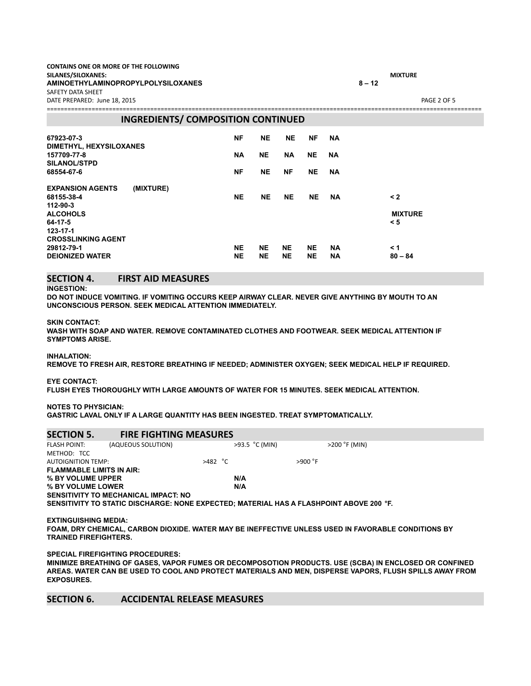| CONTAINS ONE OR MORE OF THE FOLLOWING |                |             |
|---------------------------------------|----------------|-------------|
| SILANES/SILOXANES:                    | <b>MIXTURE</b> |             |
| AMINOETHYLAMINOPROPYLPOLYSILOXANES    | $8 - 12$       |             |
| SAFETY DATA SHEET                     |                |             |
| DATE PREPARED: June 18, 2015          |                | PAGE 2 OF 5 |

============================================================================================================================== **INGREDIENTS/ COMPOSITION CONTINUED 67923-07-3 NF NE NE NF NA DIMETHYL, HEXYSILOXANES 157709-77-8 NA NE NA NE NA SILANOL/STPD 68554-67-6 NF NE NF NE NA EXPANSION AGENTS (MIXTURE) 68155-38-4 NE NE NE NE NA < 2 112-90-3 ALCOHOLS MIXTURE 64-17-5 < 5 123-17-1 CROSSLINKING AGENT 29812-79-1 NE NE NE NE NA < 1 DEIONIZED WATER NE NE NE NE NA 80 – 84**

## **SECTION 4. FIRST AID MEASURES**

#### **INGESTION:**

**DO NOT INDUCE VOMITING. IF VOMITING OCCURS KEEP AIRWAY CLEAR. NEVER GIVE ANYTHING BY MOUTH TO AN UNCONSCIOUS PERSON. SEEK MEDICAL ATTENTION IMMEDIATELY.**

#### **SKIN CONTACT:**

**WASH WITH SOAP AND WATER. REMOVE CONTAMINATED CLOTHES AND FOOTWEAR. SEEK MEDICAL ATTENTION IF SYMPTOMS ARISE.**

**INHALATION:**

**REMOVE TO FRESH AIR, RESTORE BREATHING IF NEEDED; ADMINISTER OXYGEN; SEEK MEDICAL HELP IF REQUIRED.**

**EYE CONTACT:**

**FLUSH EYES THOROUGHLY WITH LARGE AMOUNTS OF WATER FOR 15 MINUTES. SEEK MEDICAL ATTENTION.**

**NOTES TO PHYSICIAN:**

**GASTRIC LAVAL ONLY IF A LARGE QUANTITY HAS BEEN INGESTED. TREAT SYMPTOMATICALLY.**

| <b>SECTION 5.</b><br><b>FIRE FIGHTING MEASURES</b>                                      |                 |
|-----------------------------------------------------------------------------------------|-----------------|
| $>93.5$ °C (MIN)<br>(AQUEOUS SOLUTION)<br><b>FLASH POINT:</b>                           | $>200$ °F (MIN) |
| METHOD: TCC                                                                             |                 |
| $>482$ °C<br><b>AUTOIGNITION TEMP:</b>                                                  | $>900$ °F       |
| <b>FLAMMABLE LIMITS IN AIR:</b>                                                         |                 |
| % BY VOLUME UPPER<br>N/A                                                                |                 |
| % BY VOLUME LOWER<br>N/A                                                                |                 |
| SENSITIVITY TO MECHANICAL IMPACT: NO                                                    |                 |
| SENSITIVITY TO STATIC DISCHARGE: NONE EXPECTED: MATERIAL HAS A FLASHPOINT ABOVE 200 °F. |                 |
| EVTINAUDOUMA MERIA.                                                                     |                 |

**EXTINGUISHING MEDIA:**

**FOAM, DRY CHEMICAL, CARBON DIOXIDE. WATER MAY BE INEFFECTIVE UNLESS USED IN FAVORABLE CONDITIONS BY TRAINED FIREFIGHTERS.**

**SPECIAL FIREFIGHTING PROCEDURES:**

**MINIMIZE BREATHING OF GASES, VAPOR FUMES OR DECOMPOSOTION PRODUCTS. USE (SCBA) IN ENCLOSED OR CONFINED** AREAS. WATER CAN BE USED TO COOL AND PROTECT MATERIALS AND MEN, DISPERSE VAPORS, FLUSH SPILLS AWAY FROM **EXPOSURES.**

## **SECTION 6. ACCIDENTAL RELEASE MEASURES**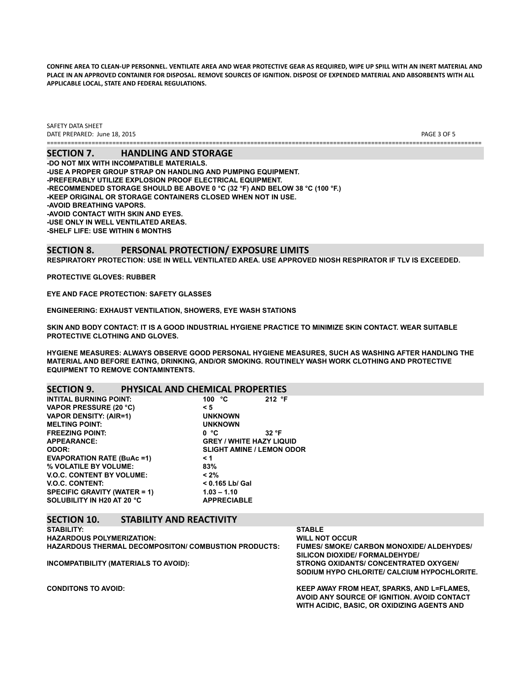CONFINE AREA TO CLEAN-UP PERSONNEL. VENTILATE AREA AND WEAR PROTECTIVE GEAR AS REQUIRED, WIPE UP SPILL WITH AN INERT MATERIAL AND PLACE IN AN APPROVED CONTAINER FOR DISPOSAL. REMOVE SOURCES OF IGNITION. DISPOSE OF EXPENDED MATERIAL AND ABSORBENTS WITH ALL **APPLICABLE LOCAL, STATE AND FEDERAL REGULATIONS.**

SAFETY DATA SHEET DATE PREPARED: June 18, 2015 **PAGE 3 OF 5** and the set of the set of the set of the set of the set of the set of the set of the set of the set of the set of the set of the set of the set of the set of the set of the set of ==============================================================================================================================

**SECTION 7. HANDLING AND STORAGE -DO NOT MIX WITH INCOMPATIBLE MATERIALS. -USE A PROPER GROUP STRAP ON HANDLING AND PUMPING EQUIPMENT. -PREFERABLY UTILIZE EXPLOSION PROOF ELECTRICAL EQUIPMENT. -RECOMMENDED STORAGE SHOULD BE ABOVE 0 °C (32 °F) AND BELOW 38 °C (100 °F.) -KEEP ORIGINAL OR STORAGE CONTAINERS CLOSED WHEN NOT IN USE. -AVOID BREATHING VAPORS. -AVOID CONTACT WITH SKIN AND EYES. -USE ONLY IN WELL VENTILATED AREAS. -SHELF LIFE: USE WITHIN 6 MONTHS**

### **SECTION 8. PERSONAL PROTECTION/ EXPOSURE LIMITS RESPIRATORY PROTECTION: USE IN WELL VENTILATED AREA. USE APPROVED NIOSH RESPIRATOR IF TLV IS EXCEEDED.**

**PROTECTIVE GLOVES: RUBBER**

**EYE AND FACE PROTECTION: SAFETY GLASSES**

**ENGINEERING: EXHAUST VENTILATION, SHOWERS, EYE WASH STATIONS**

**SKIN AND BODY CONTACT: IT IS A GOOD INDUSTRIAL HYGIENE PRACTICE TO MINIMIZE SKIN CONTACT. WEAR SUITABLE PROTECTIVE CLOTHING AND GLOVES.**

**HYGIENE MEASURES: ALWAYS OBSERVE GOOD PERSONAL HYGIENE MEASURES, SUCH AS WASHING AFTER HANDLING THE MATERIAL AND BEFORE EATING, DRINKING, AND/OR SMOKING. ROUTINELY WASH WORK CLOTHING AND PROTECTIVE EQUIPMENT TO REMOVE CONTAMINTENTS.**

### **SECTION 9. PHYSICAL AND CHEMICAL PROPERTIES**

| 100 $\degree$ C    | 212 $\degree$ F                  |
|--------------------|----------------------------------|
| $\leq 5$           |                                  |
| <b>UNKNOWN</b>     |                                  |
| <b>UNKNOWN</b>     |                                  |
| 0 °C               | 32 °F                            |
|                    | <b>GREY / WHITE HAZY LIQUID</b>  |
|                    | <b>SLIGHT AMINE / LEMON ODOR</b> |
| $\leq 1$           |                                  |
| 83%                |                                  |
| $< 2\%$            |                                  |
| < 0.165 Lb/ Gal    |                                  |
| $1.03 - 1.10$      |                                  |
| <b>APPRECIABLE</b> |                                  |
|                    |                                  |

## **SECTION 10. STABILITY AND REACTIVITY**

| <b>STABILITY:</b>                                           | <b>STABLE</b>                                    |
|-------------------------------------------------------------|--------------------------------------------------|
| <b>HAZARDOUS POLYMERIZATION:</b>                            | <b>WILL NOT OCCUR</b>                            |
| <b>HAZARDOUS THERMAL DECOMPOSITON/ COMBUSTION PRODUCTS:</b> | <b>FUMES/ SMOKE/ CARBON MONOXIDE/ ALDEHYDES/</b> |
|                                                             | SILICON DIOXIDE/ FORMALDEHYDE/                   |
| INCOMPATIBILITY (MATERIALS TO AVOID):                       | STRONG OXIDANTS/ CONCENTRATED OXYGEN/            |
|                                                             | SODIUM HYPO CHLORITE/ CALCIUM HYPOCHLORITE.      |
| <b>CONDITONS TO AVOID:</b>                                  | KEEP AWAY FROM HEAT, SPARKS, AND L=FLAMES,       |
|                                                             | AVOID ANY SOURCE OF IGNITION. AVOID CONTACT      |
|                                                             | WITH ACIDIC. BASIC. OR OXIDIZING AGENTS AND      |
|                                                             |                                                  |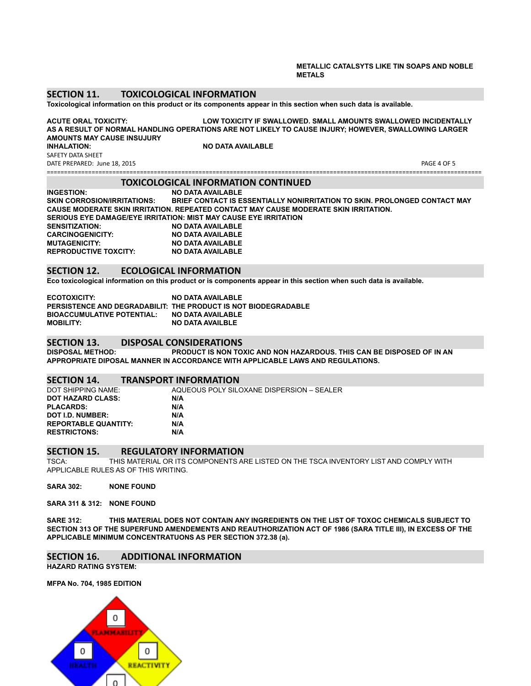#### **METALLIC CATALSYTS LIKE TIN SOAPS AND NOBLE METALS**

### **SECTION 11. TOXICOLOGICAL INFORMATION**

Toxicological information on this product or its components appear in this section when such data is available.

**ACUTE ORAL TOXICITY: LOW TOXICITY IF SWALLOWED. SMALL AMOUNTS SWALLOWED INCIDENTALLY AS A RESULT OF NORMAL HANDLING OPERATIONS ARE NOT LIKELY TO CAUSE INJURY; HOWEVER, SWALLOWING LARGER AMOUNTS MAY CAUSE INSUJURY**

SAFETY DATA SHEET

DATE PREPARED: June 18, 2015 PAGE 4 OF 5 ==============================================================================================================================

**INO DATA AVAILABLE** 

## **TOXICOLOGICAL INFORMATION CONTINUED**

**INGESTION: NO DATA AVAILABLE SKIN CORROSION/IRRITATIONS: BRIEF CONTACT IS ESSENTIALLY NONIRRITATION TO SKIN. PROLONGED CONTACT MAY CAUSE MODERATE SKIN IRRITATION. REPEATED CONTACT MAY CAUSE MODERATE SKIN IRRITATION. SERIOUS EYE DAMAGE/EYE IRRITATION: MIST MAY CAUSE EYE IRRITATION SENSITIZATION: NO DATA AVAILABLE CARCINOGENICITY: NO DATA AVAILABLE MUTAGENICITY: NO DATA AVAILABLE REPRODUCTIVE TOXCITY:** 

## **SECTION 12. ECOLOGICAL INFORMATION**

Eco toxicological information on this product or is components appear in this section when such data is available.

| ECOTOXICITY:                      | <b>NO DATA AVAILABLE</b>                                       |
|-----------------------------------|----------------------------------------------------------------|
|                                   | PERSISTENCE AND DEGRADABILIT: THE PRODUCT IS NOT BIODEGRADABLE |
| <b>BIOACCUMULATIVE POTENTIAL:</b> | NO DATA AVAILABLE                                              |
| <b>MOBILITY:</b>                  | <b>NO DATA AVAILBLE</b>                                        |

# **SECTION 13. DISPOSAL CONSIDERATIONS**

**DISPOSAL METHOD: PRODUCT IS NON TOXIC AND NON HAZARDOUS. THIS CAN BE DISPOSED OF IN AN APPROPRIATE DIPOSAL MANNER IN ACCORDANCE WITH APPLICABLE LAWS AND REGULATIONS.**

# **SECTION 14. TRANSPORT INFORMATION**<br>DOT SHIPPING NAME: AQUEOUS POLY SILO

AQUEOUS POLY SILOXANE DISPERSION – SEALER **DOT HAZARD CLASS: N/A PLACARDS: N/A DOT I.D. NUMBER: N/A REPORTABLE QUANTITY: RESTRICTONS: N/A**

## **SECTION 15. REGULATORY INFORMATION**<br>TSCA: THIS MATERIAL OR ITS COMPONENTS A

THIS MATERIAL OR ITS COMPONENTS ARE LISTED ON THE TSCA INVENTORY LIST AND COMPLY WITH APPLICABLE RULES AS OF THIS WRITING.

#### **SARA 302: NONE FOUND**

**SARA 311 & 312: NONE FOUND**

**SARE 312: THIS MATERIAL DOES NOT CONTAIN ANY INGREDIENTS ON THE LIST OF TOXOC CHEMICALS SUBJECT TO** SECTION 313 OF THE SUPERFUND AMENDEMENTS AND REAUTHORIZATION ACT OF 1986 (SARA TITLE III), IN EXCESS OF THE **APPLICABLE MINIMUM CONCENTRATUONS AS PER SECTION 372.38 (a).**

## **SECTION 16. ADDITIONAL INFORMATION**

**HAZARD RATING SYSTEM:**

**MFPA No. 704, 1985 EDITION**